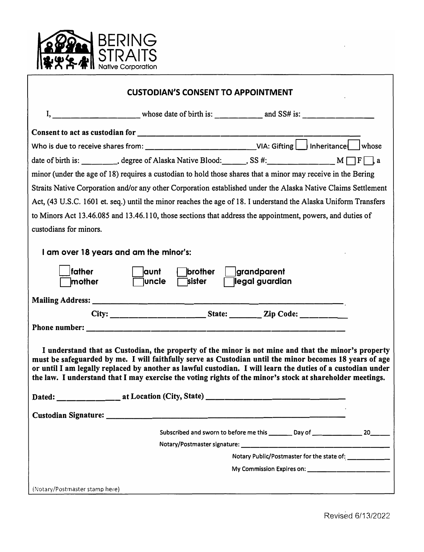

| <b>CUSTODIAN'S CONSENT TO APPOINTMENT</b>                                                                                                                                                                                                                                                                                                                                                                                                  |
|--------------------------------------------------------------------------------------------------------------------------------------------------------------------------------------------------------------------------------------------------------------------------------------------------------------------------------------------------------------------------------------------------------------------------------------------|
|                                                                                                                                                                                                                                                                                                                                                                                                                                            |
| Consent to act as custodian for $\frac{1}{\frac{1}{2} \cdot \frac{1}{2} \cdot \frac{1}{2} \cdot \frac{1}{2} \cdot \frac{1}{2} \cdot \frac{1}{2} \cdot \frac{1}{2} \cdot \frac{1}{2} \cdot \frac{1}{2} \cdot \frac{1}{2} \cdot \frac{1}{2} \cdot \frac{1}{2} \cdot \frac{1}{2} \cdot \frac{1}{2} \cdot \frac{1}{2} \cdot \frac{1}{2} \cdot \frac{1}{2} \cdot \frac{1}{2} \cdot \frac{1}{2} \cdot \frac{1}{2} \cdot \frac{$                  |
| Who is due to receive shares from: ___________________________________VIA: Gifting $\Box$ Inheritance $\Box$ whose                                                                                                                                                                                                                                                                                                                         |
| date of birth is: ________, degree of Alaska Native Blood: _____, SS #: __________________ M $\Box$ F $\Box$ , a                                                                                                                                                                                                                                                                                                                           |
| minor (under the age of 18) requires a custodian to hold those shares that a minor may receive in the Bering                                                                                                                                                                                                                                                                                                                               |
| Straits Native Corporation and/or any other Corporation established under the Alaska Native Claims Settlement                                                                                                                                                                                                                                                                                                                              |
| Act, (43 U.S.C. 1601 et. seq.) until the minor reaches the age of 18. I understand the Alaska Uniform Transfers                                                                                                                                                                                                                                                                                                                            |
| to Minors Act 13.46.085 and 13.46.110, those sections that address the appointment, powers, and duties of                                                                                                                                                                                                                                                                                                                                  |
| custodians for minors.                                                                                                                                                                                                                                                                                                                                                                                                                     |
| I am over 18 years and am the minor's:                                                                                                                                                                                                                                                                                                                                                                                                     |
| <b>father</b><br>aunt<br>brother<br>grandparent<br> legal guardian<br>mother<br><b>luncle</b><br><b>Tsister</b>                                                                                                                                                                                                                                                                                                                            |
|                                                                                                                                                                                                                                                                                                                                                                                                                                            |
|                                                                                                                                                                                                                                                                                                                                                                                                                                            |
|                                                                                                                                                                                                                                                                                                                                                                                                                                            |
| I understand that as Custodian, the property of the minor is not mine and that the minor's property<br>must be safeguarded by me. I will faithfully serve as Custodian until the minor becomes 18 years of age<br>or until I am legally replaced by another as lawful custodian. I will learn the duties of a custodian under<br>the law. I understand that I may exercise the voting rights of the minor's stock at shareholder meetings. |
|                                                                                                                                                                                                                                                                                                                                                                                                                                            |
|                                                                                                                                                                                                                                                                                                                                                                                                                                            |
| Subscribed and sworn to before me this ________ Day of ________________ 20_______                                                                                                                                                                                                                                                                                                                                                          |
|                                                                                                                                                                                                                                                                                                                                                                                                                                            |
| Notary Public/Postmaster for the state of: __________                                                                                                                                                                                                                                                                                                                                                                                      |
| My Commission Expires on: ________________________                                                                                                                                                                                                                                                                                                                                                                                         |
| (Notary/Postmaster stamp here)                                                                                                                                                                                                                                                                                                                                                                                                             |

٦